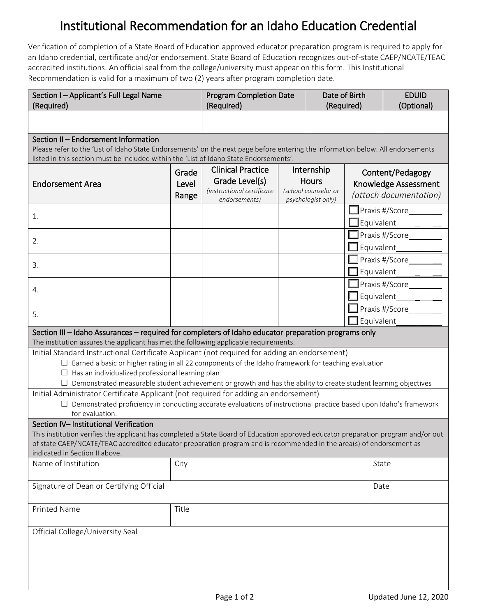## Institutional Recommendation for an Idaho Education Credential

 Verification of completion of a State Board of Education approved educator preparation program is required to apply for accredited institutions. An official seal from the college/university must appear on this form. This Institutional an Idaho credential, certificate and/or endorsement. State Board of Education recognizes out-of-state CAEP/NCATE/TEAC Recommendation is valid for a maximum of two (2) years after program completion date.

| Section I - Applicant's Full Legal Name<br>(Required)                                                                                                                                                                                                                                                                                                                                                                                                                                   |                         | <b>Program Completion Date</b><br>(Required)                                              |  | Date of Birth<br>(Required)                                              |                                                                      | <b>EDUID</b><br>(Optional)                                           |
|-----------------------------------------------------------------------------------------------------------------------------------------------------------------------------------------------------------------------------------------------------------------------------------------------------------------------------------------------------------------------------------------------------------------------------------------------------------------------------------------|-------------------------|-------------------------------------------------------------------------------------------|--|--------------------------------------------------------------------------|----------------------------------------------------------------------|----------------------------------------------------------------------|
|                                                                                                                                                                                                                                                                                                                                                                                                                                                                                         |                         |                                                                                           |  |                                                                          |                                                                      |                                                                      |
| Section II - Endorsement Information<br>Please refer to the 'List of Idaho State Endorsements' on the next page before entering the information below. All endorsements<br>listed in this section must be included within the 'List of Idaho State Endorsements'.                                                                                                                                                                                                                       |                         |                                                                                           |  |                                                                          |                                                                      |                                                                      |
| <b>Endorsement Area</b>                                                                                                                                                                                                                                                                                                                                                                                                                                                                 | Grade<br>Level<br>Range | <b>Clinical Practice</b><br>Grade Level(s)<br>(instructional certificate<br>endorsements) |  | Internship<br><b>Hours</b><br>(school counselor or<br>psychologist only) |                                                                      | Content/Pedagogy<br>Knowledge Assessment<br>(attach documentation)   |
| 1.                                                                                                                                                                                                                                                                                                                                                                                                                                                                                      |                         |                                                                                           |  |                                                                          |                                                                      | $\Box$ Praxis #/Score $\_\_\_\_\_\_\_\_\_\_\_\$<br>$\Box$ Equivalent |
| 2.                                                                                                                                                                                                                                                                                                                                                                                                                                                                                      |                         |                                                                                           |  | $\Box$ Equivalent                                                        |                                                                      | $\Box$ Praxis #/Score                                                |
| 3.                                                                                                                                                                                                                                                                                                                                                                                                                                                                                      |                         |                                                                                           |  |                                                                          | <b>Praxis #/Score</b><br>$\mathsf{\overline{\mathsf{I}}}$ Equivalent |                                                                      |
| 4.                                                                                                                                                                                                                                                                                                                                                                                                                                                                                      |                         |                                                                                           |  |                                                                          |                                                                      | $\Box$ Praxis #/Score $\Box$<br>$\Box$ Equivalent                    |
| 5.                                                                                                                                                                                                                                                                                                                                                                                                                                                                                      |                         |                                                                                           |  |                                                                          |                                                                      | $\blacksquare$ Praxis #/Score<br>Equivalent                          |
| Section III - Idaho Assurances - required for completers of Idaho educator preparation programs only<br>The institution assures the applicant has met the following applicable requirements.                                                                                                                                                                                                                                                                                            |                         |                                                                                           |  |                                                                          |                                                                      |                                                                      |
| Initial Standard Instructional Certificate Applicant (not required for adding an endorsement)<br>$\Box$ Earned a basic or higher rating in all 22 components of the Idaho framework for teaching evaluation<br>$\Box$ Has an individualized professional learning plan<br>Demonstrated measurable student achievement or growth and has the ability to create student learning objectives<br>U.<br>Initial Administrator Certificate Applicant (not required for adding an endorsement) |                         |                                                                                           |  |                                                                          |                                                                      |                                                                      |
| $\Box$ Demonstrated proficiency in conducting accurate evaluations of instructional practice based upon Idaho's framework<br>for evaluation.                                                                                                                                                                                                                                                                                                                                            |                         |                                                                                           |  |                                                                          |                                                                      |                                                                      |
| Section IV- Institutional Verification<br>This institution verifies the applicant has completed a State Board of Education approved educator preparation program and/or out<br>of state CAEP/NCATE/TEAC accredited educator preparation program and is recommended in the area(s) of endorsement as<br>indicated in Section II above.                                                                                                                                                   |                         |                                                                                           |  |                                                                          |                                                                      |                                                                      |
| Name of Institution                                                                                                                                                                                                                                                                                                                                                                                                                                                                     | City                    |                                                                                           |  |                                                                          | State                                                                |                                                                      |
| Signature of Dean or Certifying Official                                                                                                                                                                                                                                                                                                                                                                                                                                                |                         |                                                                                           |  |                                                                          |                                                                      | Date                                                                 |
| <b>Printed Name</b>                                                                                                                                                                                                                                                                                                                                                                                                                                                                     | Title                   |                                                                                           |  |                                                                          |                                                                      |                                                                      |
| Official College/University Seal                                                                                                                                                                                                                                                                                                                                                                                                                                                        |                         |                                                                                           |  |                                                                          |                                                                      |                                                                      |
|                                                                                                                                                                                                                                                                                                                                                                                                                                                                                         |                         |                                                                                           |  |                                                                          |                                                                      |                                                                      |